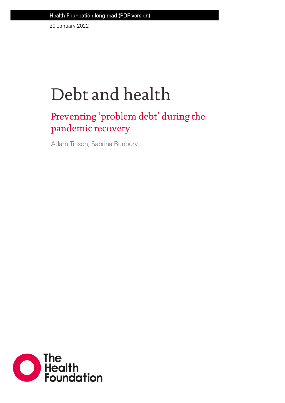20 January 2022

# Debt and health

### Preventing 'problem debt' during the pandemic recovery

Adam Tinson, Sabrina Bunbury

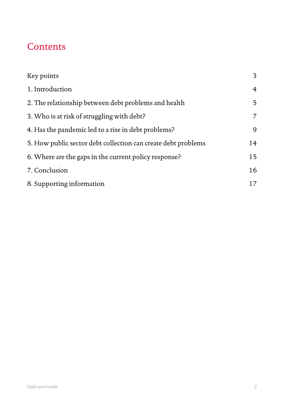### **Contents**

| Key points                                                    | 3              |
|---------------------------------------------------------------|----------------|
| 1. Introduction                                               | $\overline{4}$ |
| 2. The relationship between debt problems and health          | 5              |
| 3. Who is at risk of struggling with debt?                    | $\overline{7}$ |
| 4. Has the pandemic led to a rise in debt problems?           | 9              |
| 5. How public sector debt collection can create debt problems | 14             |
| 6. Where are the gaps in the current policy response?         | 15             |
| 7. Conclusion                                                 | 16             |
| 8. Supporting information                                     | 17             |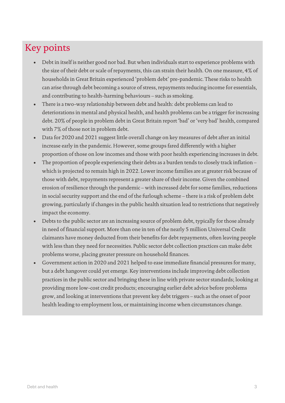### Key points

- Debt in itself is neither good nor bad. But when individuals start to experience problems with the size of their debt or scale of repayments, this can strain their health. On one measure, 4% of households in Great Britain experienced 'problem debt' pre-pandemic. These risks to health can arise through debt becoming a source of stress, repayments reducing income for essentials, and contributing to health-harming behaviours – such as smoking.
- There is a two-way relationship between debt and health: debt problems can lead to deteriorations in mental and physical health, and health problems can be a trigger for increasing debt. 20% of people in problem debt in Great Britain report 'bad' or 'very bad' health, compared with 7% of those not in problem debt.
- Data for 2020 and 2021 suggest little overall change on key measures of debt after an initial increase early in the pandemic. However, some groups fared differently with a higher proportion of those on low incomes and those with poor health experiencing increases in debt.
- The proportion of people experiencing their debts as a burden tends to closely track inflation which is projected to remain high in 2022. Lower income families are at greater risk because of those with debt, repayments represent a greater share of their income. Given the combined erosion of resilience through the pandemic – with increased debt for some families, reductions in social security support and the end of the furlough scheme – there is a risk of problem debt growing, particularly if changes in the public health situation lead to restrictions that negatively impact the economy.
- Debts to the public sector are an increasing source of problem debt, typically for those already in need of financial support. More than one in ten of the nearly 5 million Universal Credit claimants have money deducted from their benefits for debt repayments, often leaving people with less than they need for necessities. Public sector debt collection practices can make debt problems worse, placing greater pressure on household finances.
- Government action in 2020 and 2021 helped to ease immediate financial pressures for many, but a debt hangover could yet emerge. Key interventions include improving debt collection practices in the public sector and bringing these in line with private sector standards; looking at providing more low-cost credit products; encouraging earlier debt advice before problems grow, and looking at interventions that prevent key debt triggers – such as the onset of poor health leading to employment loss, or maintaining income when circumstances change.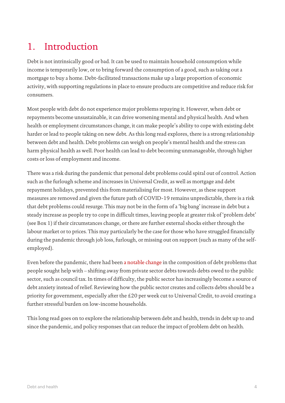### 1. Introduction

Debt is not intrinsically good or bad. It can be used to maintain household consumption while income is temporarily low, or to bring forward the consumption of a good, such as taking out a mortgage to buy a home. Debt-facilitated transactions make up a large proportion of economic activity, with supporting regulations in place to ensure products are competitive and reduce risk for consumers.

Most people with debt do not experience major problems repaying it. However, when debt or repayments become unsustainable, it can drive worsening mental and physical health. And when health or employment circumstances change, it can make people's ability to cope with existing debt harder or lead to people taking on new debt. As this long read explores, there is a strong relationship between debt and health. Debt problems can weigh on people's mental health and the stress can harm physical health as well. Poor health can lead to debt becoming unmanageable, through higher costs or loss of employment and income.

There was a risk during the pandemic that personal debt problems could spiral out of control. Action such as the furlough scheme and increases in Universal Credit, as well as mortgage and debt repayment holidays, prevented this from materialising for most. However, as these support measures are removed and given the future path of COVID-19 remains unpredictable, there is a risk that debt problems could resurge. This may not be in the form of a 'big bang' increase in debt but a steady increase as people try to cope in difficult times, leaving people at greater risk of 'problem debt' (see Box 1) if their circumstances change, or there are further external shocks either through the labour market or to prices. This may particularly be the case for those who have struggled financially during the pandemic through job loss, furlough, or missing out on support (such as many of the selfemployed).

Even before the pandemic, there had bee[n a notable change](https://www.centreforsocialjustice.org.uk/wp-content/uploads/2020/04/CSJJ8154-Debt-Report-INTS-200424.pdf) in the composition of debt problems that people sought help with – shifting away from private sector debts towards debts owed to the public sector, such as council tax. In times of difficulty, the public sector has increasingly become a source of debt anxiety instead of relief. Reviewing how the public sector creates and collects debts should be a priority for government, especially after the £20 per week cut to Universal Credit, to avoid creating a further stressful burden on low-income households.

This long read goes on to explore the relationship between debt and health, trends in debt up to and since the pandemic, and policy responses that can reduce the impact of problem debt on health.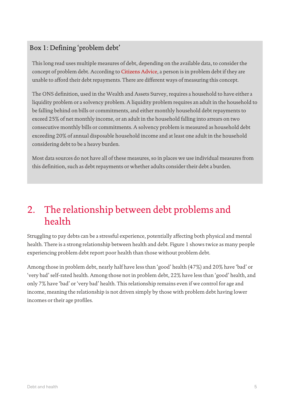### Box 1: Defining 'problem debt'

This long read uses multiple measures of debt, depending on the available data, to consider the concept of problem debt. According to [Citizens Advice,](https://www.citizensadvice.org.uk/Global/CitizensAdvice/Debt%20and%20Money%20Publications/Infographic%20-%20Stuck%20In%20Debt.pdf) a person is in problem debt if they are unable to afford their debt repayments. There are different ways of measuring this concept.

The ONS definition, used in the Wealth and Assets Survey, requires a household to have either a liquidity problem or a solvency problem. A liquidity problem requires an adult in the household to be falling behind on bills or commitments, and either monthly household debt repayments to exceed 25% of net monthly income, or an adult in the household falling into arrears on two consecutive monthly bills or commitments. A solvency problem is measured as household debt exceeding 20% of annual disposable household income and at least one adult in the household considering debt to be a heavy burden.

Most data sources do not have all of these measures, so in places we use individual measures from this definition, such as debt repayments or whether adults consider their debt a burden.

### 2. The relationship between debt problems and health

Struggling to pay debts can be a stressful experience, potentially affecting both physical and mental health. There is a strong relationship between health and debt. Figure 1 shows twice as many people experiencing problem debt report poor health than those without problem debt.

Among those in problem debt, nearly half have less than 'good' health (47%) and 20% have 'bad' or 'very bad' self-rated health. Among those not in problem debt, 22% have less than 'good' health, and only 7% have 'bad' or 'very bad' health. This relationship remains even if we control for age and income, meaning the relationship is not driven simply by those with problem debt having lower incomes or their age profiles.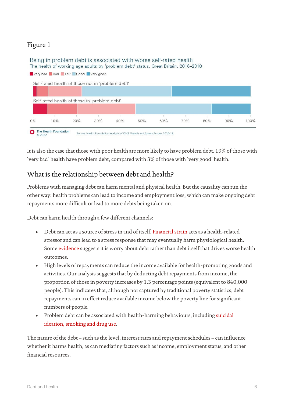#### Figure 1

#### Being in problem debt is associated with worse self-rated health The health of working age adults by 'problem debt' status, Great Britain, 2016-2018



It is also the case that those with poor health are more likely to have problem debt. 19% of those with 'very bad' health have problem debt, compared with 3% of those with 'very good' health.

#### What is the relationship between debt and health?

Problems with managing debt can harm mental and physical health. But the causality can run the other way: health problems can lead to income and employment loss, which can make ongoing debt repayments more difficult or lead to more debts being taken on.

Debt can harm health through a few different channels:

- Debt can act as a source of stress in and of itself. [Financial strain](https://journals.sagepub.com/doi/pdf/10.1177/002214650504600206?casa_token=SkWaVdL5huwAAAAA:XKs41jx6imnXg6vFVax4RB3Os40ogZQ3DT7DcRJi-acTLoexCoZ6sGLnJAz11g012s7k3sGXoOH_) acts as a health-related stressor and can lead to a stress response that may eventually harm physiological health. Some [evidence](https://pdf.sciencedirectassets.com/271858/1-s2.0-S0272735813X00078/1-s2.0-S0272735813001256/main.pdf?X-Amz-Security-Token=IQoJb3JpZ2luX2VjEH4aCXVzLWVhc3QtMSJIMEYCIQDRzJEgoPCYILBtcM3OMnlYr7JmMgtWJf9rrphLgCqNxwIhALyIBU5tj4%2F%2B6DAoz4dEkoSQO5yhiIiS%2BvSE5brA%2B1SJKvoDCBYQBBoMMDU5MDAzNTQ2ODY1Igz%2F6ACvZXtDIe1fV90q1wOntOVodvdabDUNIvmbt%2BSDIb7n5S0gA7Ub3jLZWEAEjCw7caPWMT97D0Gr%2F1Yv3RvrL%2FNWThSCY0PvgDf%2FQN3%2Fj5UexKRzaQzRgimdzZTqszzuM5kqcVOuFsiUE3D4oeE0FwQiIulcG3eo6uUfPOnesNF9AvZgjaNG%2Fh0r8phq4k8p7FLYDmd4NcFFwOidN13qlGdKU2xHGx%2BdAg23RVpO2XBGO%2BJ4q4C1r4LLrOCvumQJ8mjL0a1vF3C4VnpntC6EVRk6KiekW6p0sMAGhNxhH0hTEEQQSXlj1pFCgw5HEu1vz0S9G6kVNOezH%2F%2F8FaYAC8eVMrunI3rxkudTtLLu0%2F2qf9Q56YIRfeRfuQ7KRVGfYXKhSCzE0zhHpeUuHG4BV0ld1NkGwRmIIe7Mli0qy0e58In0QBWeXv0FDlnqPNoVLtLUdP3bO1iYXQwtcl86RTTzSUdxVpkgFMLX27mtqGQNOSTXx3hM0y2s%2FVhuFEZYOeueB7vZjxcjaCivyh2OBR87%2BdY0VODRgC1NeyNRRoYu%2FG10DneaV1l6S9YtLz5idUsrMruTRskzOePmx2zlMXaTIozmGQwEUDYCKgwNCTFc2HjuHD6Zwsr1Q38iqRp6Mf94eQ0wtu7KiwY6pAGhGwVYOv3HDrkNoOTE3yt1fF3RKMMNIkYE9s7j32ecpMdMGnxliGCjhTfWCcW1JrpHEWSBqWbrLE6iqZzh%2B9rx4Y3yK3FSXL9LRshUWSNLLdT7dPAswu4vldN98UMkf9Tt8Y3%2FJjL6t4zc2AUlvyzO45Cc6MmXTtEQNSi1CLD5t8wRnKRTWP4M4spX93pV74e%2FLBQ%2FXHxNDgEFe0fxGpR3FfHZXg%3D%3D&X-Amz-Algorithm=AWS4-HMAC-SHA256&X-Amz-Date=20211022T141850Z&X-Amz-SignedHeaders=host&X-Amz-Expires=300&X-Amz-Credential=ASIAQ3PHCVTYSMF7DV6F%2F20211022%2Fus-east-1%2Fs3%2Faws4_request&X-Amz-Signature=bd7ed27a6f1568d24c9678c5c4ff060dd0a2c6eac09feab271f3b3b8b4eba559&hash=95cbdc4e510f5e461cb15aeec5581b92c1bfe712f9f3a1813d68a9e512a21baf&host=68042c943591013ac2b2430a89b270f6af2c76d8dfd086a07176afe7c76c2c61&pii=S0272735813001256&tid=spdf-96173913-5a4b-410b-9e87-cca64c7ccfbd&sid=f7622a9650808646df38b2e1028e4bab10b2gxrqb&type=client) suggests it is worry about debt rather than debt itself that drives worse health outcomes.
- High levels of repayments can reduce the income available for health-promoting goods and activities. Our analysis suggests that by deducting debt repayments from income, the proportion of those in poverty increases by 1.3 percentage points (equivalent to 840,000 people). This indicates that, although not captured by traditional poverty statistics, debt repayments can in effect reduce available income below the poverty line for significant numbers of people.
- Problem debt can be associated with health-harming behaviours, including [suicidal](https://www.cambridge.org/core/journals/psychological-medicine/article/abs/personal-debt-and-suicidal-ideation/F5082332BCC9CCD340981A7C614BEFB3)  [ideation,](https://www.cambridge.org/core/journals/psychological-medicine/article/abs/personal-debt-and-suicidal-ideation/F5082332BCC9CCD340981A7C614BEFB3) [smoking and drug use.](https://pubmed.ncbi.nlm.nih.gov/24121465/)

The nature of the debt – such as the level, interest rates and repayment schedules – can influence whether it harms health, as can mediating factors such as income, employment status, and other financial resources.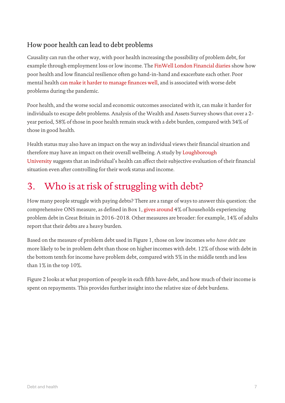### How poor health can lead to debt problems

Causality can run the other way, with poor health increasing the possibility of problem debt, for example through employment loss or low income. The [FinWell London Financial diaries](https://urbanhealth.org.uk/insights/reports/london-financial-diaries-addressing-the-twin-challenges-of-poor-health-and-financial-difficulty) show how poor health and low financial resilience often go hand-in-hand and exacerbate each other. Poor mental health [can make it harder to manage finances well,](https://www.moneyandmentalhealth.org/publications/the-state-were-in/) and is associated with worse debt problems during the pandemic.

Poor health, and the worse social and economic outcomes associated with it, can make it harder for individuals to escape debt problems. Analysis of the Wealth and Assets Survey shows that over a 2 year period, 58% of those in poor health remain stuck with a debt burden, compared with 34% of those in good health.

Health status may also have an impact on the way an individual views their financial situation and therefore may have an impact on their overall wellbeing. A study by [Loughborough](https://link.springer.com/content/pdf/10.1186/s12955-020-01456-3.pdf)  [University](https://link.springer.com/content/pdf/10.1186/s12955-020-01456-3.pdf) suggests that an individual's health can affect their subjective evaluation of their financial situation even after controlling for their work status and income.

### 3. Who is at risk of struggling with debt?

How many people struggle with paying debts? There are a range of ways to answer this question: the comprehensive ONS measure, as defined in Box 1, [gives around](https://www.ons.gov.uk/peoplepopulationandcommunity/personalandhouseholdfinances/incomeandwealth/bulletins/householddebtingreatbritain/april2016tomarch2018#debt-burden-and-problem-debt) 4% of households experiencing problem debt in Great Britain in 2016–2018. Other measures are broader: for example, 14% of adults report that their debts are a heavy burden.

Based on the measure of problem debt used in Figure 1, those on low incomes *who have debt* are more likely to be in problem debt than those on higher incomes with debt. 12% of those with debt in the bottom tenth for income have problem debt, compared with 5% in the middle tenth and less than 1% in the top 10%.

Figure 2 looks at what proportion of people in each fifth have debt, and how much of their income is spent on repayments. This provides further insight into the relative size of debt burdens.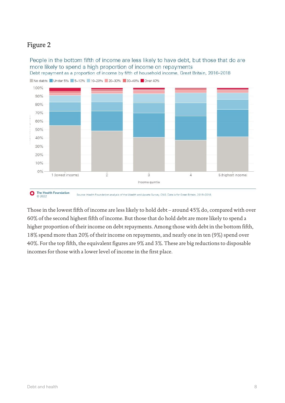#### Figure 2

People in the bottom fifth of income are less likely to have debt, but those that do are more likely to spend a high proportion of income on repayments Debt repayment as a proportion of income by fifth of household income, Great Britain, 2016-2018



The Health Foundation<br>© 2022 O Source: Health Foundation analysis of the Wealth and Assets Survey, ONS. Data is for Great Britain, 2016-2018.

Those in the lowest fifth of income are less likely to hold debt – around 45% do, compared with over 60% of the second highest fifth of income. But those that do hold debt are more likely to spend a higher proportion of their income on debt repayments. Among those with debt in the bottom fifth, 18% spend more than 20% of their income on repayments, and nearly one in ten (9%) spend over 40%. For the top fifth, the equivalent figures are 9% and 3%. These are big reductions to disposable incomes for those with a lower level of income in the first place.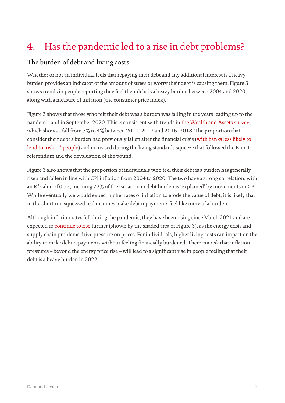### 4. Has the pandemic led to a rise in debt problems?

#### The burden of debt and living costs

Whether or not an individual feels that repaying their debt and any additional interest is a heavy burden provides an indicator of the amount of stress or worry their debt is causing them. Figure 3 shows trends in people reporting they feel their debt is a heavy burden between 2004 and 2020, along with a measure of inflation (the consumer price index).

Figure 3 shows that those who felt their debt was a burden was falling in the years leading up to the pandemic and in September 2020. This is consistent with trends in [the Wealth and Assets survey,](https://www.ons.gov.uk/peoplepopulationandcommunity/personalandhouseholdfinances/incomeandwealth/bulletins/householddebtingreatbritain/april2016tomarch2018#debt-burden-and-problem-debt) which shows a fall from 7% to 4% between 2010–2012 and 2016–2018. The proportion that consider their debt a burden had previously fallen after the financial crisis [\(with banks less likely to](https://www.bankofengland.co.uk/credit-conditions-survey/2009/2009-q1)  [lend to 'riskier' people\)](https://www.bankofengland.co.uk/credit-conditions-survey/2009/2009-q1) and increased during the living standards squeeze that followed the Brexit referendum and the devaluation of the pound.

Figure 3 also shows that the proportion of individuals who feel their debt is a burden has generally risen and fallen in line with CPI inflation from 2004 to 2020. The two have a strong correlation, with an  $R^2$  value of 0.72, meaning 72% of the variation in debt burden is 'explained' by movements in CPI. While eventually we would expect higher rates of inflation to erode the value of debt, it is likely that in the short run squeezed real incomes make debt repayments feel like more of a burden.

Although inflation rates fell during the pandemic, they have been rising since March 2021 and are expected to [continue to rise](https://www.theguardian.com/business/2021/sep/23/bank-of-england-warns-energy-crisis-will-push-inflation-above-4-this-winter) further (shown by the shaded area of Figure 3), as the energy crisis and supply chain problems drive pressure on prices. For individuals, higher living costs can impact on the ability to make debt repayments without feeling financially burdened. There is a risk that inflation pressures – beyond the energy price rise – will lead to a significant rise in people feeling that their debt is a heavy burden in 2022.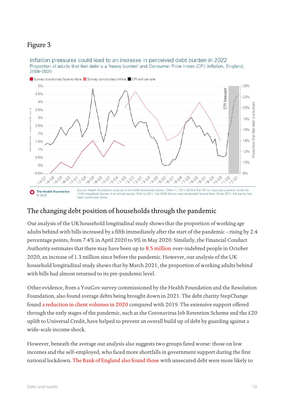### Figure 3

#### Inflation pressures could lead to an increase in perceived debt burden in 2022 Proportion of adults that feel debt is a 'heavy burden' and Consumer Price Index (CPI) inflation, England, 2004-2020



Survey conducted face-to-face Survey conducted online CPI annual rate

#### The changing debt position of households through the pandemic

Our analysis of the UK household longitudinal study shows that the proportion of working age adults behind with bills increased by a fifth immediately after the start of the pandemic – rising by 2.4 percentage points, from 7.4% in April 2020 to 9% in May 2020. Similarly, the Financial Conduct Authority estimates that there may have been up to [8.5 million](https://www.fca.org.uk/publication/research/financial-lives-survey-2020.pdf#page=23) over-indebted people in October 2020, an increase of 1.3 million since before the pandemic. However, our analysis of the UK household longitudinal study shows that by March 2021, the proportion of working adults behind with bills had almost returned to its pre-pandemic level.

Other evidence, from a YouGov survey commissioned by the Health Foundation and the Resolution Foundation, also found average debts being brought down in 2021. The debt charity StepChange found [a reduction in client volumes in 2020](https://www.stepchange.org/Portals/0/assets/pdf/stepchange_statistics_yearbook_2020.pdf) compared with 2019. The extensive support offered through the early stages of the pandemic, such as the Coronavirus Job Retention Scheme and the £20 uplift to Universal Credit, have helped to prevent an overall build up of debt by guarding against a wide-scale income shock.

However, beneath the average our analysis also suggests two groups fared worse: those on low incomes and the self-employed, who faced more shortfalls in government support during the first national lockdown. [The Bank of England also found those](https://www.bankofengland.co.uk/quarterly-bulletin/2021/2021-q2/household-debt-and-covid) with unsecured debt were more likely to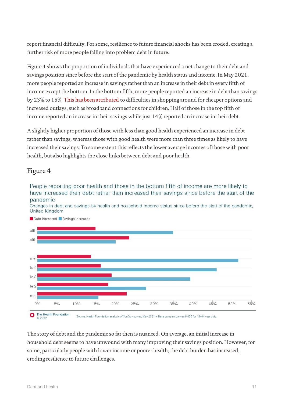report financial difficulty. For some, resilience to future financial shocks has been eroded, creating a further risk of more people falling into problem debt in future.

Figure 4 shows the proportion of individuals that have experienced a net change to their debt and savings position since before the start of the pandemic by health status and income. In May 2021, more people reported an increase in savings rather than an increase in their debt in every fifth of income except the bottom. In the bottom fifth, more people reported an increase in debt than savings by 23% to 15%. [This has been attributed](https://www.resolutionfoundation.org/publications/pandemic-pressures/) to difficulties in shopping around for cheaper options and increased outlays, such as broadband connections for children. Half of those in the top fifth of income reported an increase in their savings while just 14% reported an increase in their debt.

A slightly higher proportion of those with less than good health experienced an increase in debt rather than savings, whereas those with good health were more than three times as likely to have increased their savings. To some extent this reflects the lower average incomes of those with poor health, but also highlights the close links between debt and poor health.

#### Figure 4

People reporting poor health and those in the bottom fifth of income are more likely to have increased their debt rather than increased their savings since before the start of the pandemic

Changes in debt and savings by health and household income status since before the start of the pandemic, United Kingdom



Debt increased Savings increased

Source: Health Foundation analysis of YouGov survey, May 2021. . Base sample size was 6,005 for 18-64 year olds.  $©2022$ 

The story of debt and the pandemic so far then is nuanced. On average, an initial increase in household debt seems to have unwound with many improving their savings position. However, for some, particularly people with lower income or poorer health, the debt burden has increased, eroding resilience to future challenges.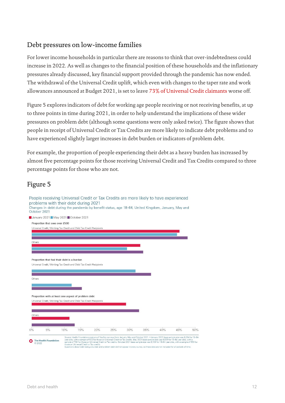#### Debt pressures on low-income families

For lower income households in particular there are reasons to think that over-indebtedness could increase in 2022. As well as changes to the financial position of these households and the inflationary pressures already discussed, key financial support provided through the pandemic has now ended. The withdrawal of the Universal Credit uplift, which even with changes to the taper rate and work allowances announced at Budget 2021, is set to leave [73% of Universal Credit claimants](https://www.resolutionfoundation.org/app/uploads/2021/11/Taper-cut.pdf) worse off.

Figure 5 explores indicators of debt for working age people receiving or not receiving benefits, at up to three points in time during 2021, in order to help understand the implications of these wider pressures on problem debt (although some questions were only asked twice). The figure shows that people in receipt of Universal Credit or Tax Credits are more likely to indicate debt problems and to have experienced slightly larger increases in debt burden or indicators of problem debt.

For example, the proportion of people experiencing their debt as a heavy burden has increased by almost five percentage points for those receiving Universal Credit and Tax Credits compared to three percentage points for those who are not.

#### Figure 5

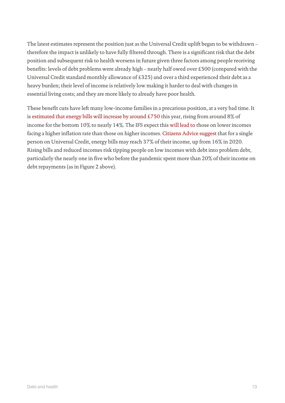The latest estimates represent the position just as the Universal Credit uplift began to be withdrawn – therefore the impact is unlikely to have fully filtered through. There is a significant risk that the debt position and subsequent risk to health worsens in future given three factors among people receiving benefits: levels of debt problems were already high – nearly half owed over £500 (compared with the Universal Credit standard monthly allowance of £325) and over a third experienced their debt as a heavy burden; their level of income is relatively low making it harder to deal with changes in essential living costs; and they are more likely to already have poor health.

These benefit cuts have left many low-income families in a precarious position, at a very bad time. It is [estimated that energy bills will increase by around £750](https://www.resolutionfoundation.org/comment/spiralling-energy-prices-will-turn-the-uks-cost-of-living-crisis-into-a-catastrophe/) this year, rising from around 8% of income for the bottom 10% to nearly 14%. The IFS expect this [will lead to](https://ifs.org.uk/publications/15905) those on lower incomes facing a higher inflation rate than those on higher incomes. [Citizens Advice suggest](https://www.thesun.co.uk/money/17313864/families-rationing-due-to-soaring-energy-get-help/?utm_source=native_share&utm_medium=sharebar_native&utm_campaign=sharebaramp) that for a single person on Universal Credit, energy bills may reach 37% of their income, up from 16% in 2020. Rising bills and reduced incomes risk tipping people on low incomes with debt into problem debt, particularly the nearly one in five who before the pandemic spent more than 20% of their income on debt repayments (as in Figure 2 above).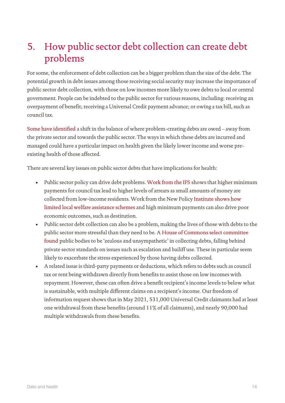### 5. How public sector debt collection can create debt problems

For some, the enforcement of debt collection can be a bigger problem than the size of the debt. The potential growth in debt issues among those receiving social security may increase the importance of public sector debt collection, with those on low incomes more likely to owe debts to local or central government. People can be indebted to the public sector for various reasons, including: receiving an overpayment of benefit; receiving a Universal Credit payment advance; or owing a tax bill, such as council tax.

[Some have identified](https://www.centreforsocialjustice.org.uk/wp-content/uploads/2020/04/CSJJ8154-Debt-Report-INTS-200424.pdf) a shift in the balance of where problem-creating debts are owed – away from the private sector and towards the public sector. The ways in which these debts are incurred and managed could have a particular impact on health given the likely lower income and worse preexisting health of those affected.

There are several key issues on public sector debts that have implications for health:

- Public sector policy can drive debt problems. [Work from the IFS](https://ifs.org.uk/publications/13827) shows that higher minimum payments for council tax lead to higher levels of arrears as small amounts of money are collected from low-income residents. Work from the New Policy Institute [shows how](https://www.npi.org.uk/files/2815/3002/8979/preventing_destitution_in_the_uk2.pdf)  [limited local welfare assistance schemes](https://www.npi.org.uk/files/2815/3002/8979/preventing_destitution_in_the_uk2.pdf) and high minimum payments can also drive poor economic outcomes, such as destitution.
- Public sector debt collection can also be a problem, making the lives of those with debts to the public sector more stressful than they need to be. A [House of Commons select committee](https://researchbriefings.files.parliament.uk/documents/CBP-9007/CBP-9007.pdf)  [found](https://researchbriefings.files.parliament.uk/documents/CBP-9007/CBP-9007.pdf) public bodies to be 'zealous and unsympathetic' in collecting debts, falling behind private sector standards on issues such as escalation and bailiff use. These in particular seem likely to exacerbate the stress experienced by those having debts collected.
- A related issue is third-party payments or deductions, which refers to debts such as council tax or rent being withdrawn directly from benefits to assist those on low incomes with repayment. However, these can often drive a benefit recipient's income levels to below what is sustainable, with multiple different claims on a recipient's income. Our freedom of information request shows that in May 2021, 531,000 Universal Credit claimants had at least one withdrawal from these benefits (around 11% of all claimants), and nearly 90,000 had multiple withdrawals from these benefits.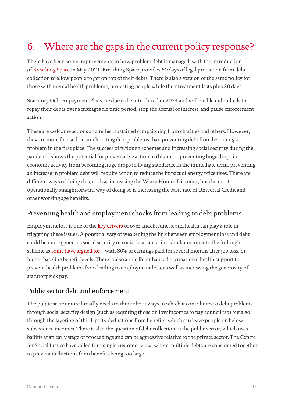### 6. Where are the gaps in the current policy response?

There have been some improvements in how problem debt is managed, with the introduction of [Breathing Space](https://www.gov.uk/government/publications/debt-respite-scheme-breathing-space-guidance/debt-respite-scheme-breathing-space-guidance-for-creditors) in May 2021. Breathing Space provides 60 days of legal protection from debt collection to allow people to get on top of their debts. There is also a version of the same policy for those with mental health problems, protecting people while their treatment lasts plus 30 days.

Statutory Debt Repayment Plans are due to be introduced in 2024 and will enable individuals to repay their debts over a manageable time period, stop the accrual of interest, and pause enforcement action.

These are welcome actions and reflect sustained campaigning from charities and others. However, they are more focused on ameliorating debt problems than preventing debt from becoming a problem in the first place. The success of furlough schemes and increasing social security during the pandemic shows the potential for preventative action in this area – preventing huge drops in economic activity from becoming huge drops in living standards. In the immediate term, preventing an increase in problem debt will require action to reduce the impact of energy price rises. There are different ways of doing this, such as increasing the Warm Homes Discount, but the most operationally straightforward way of doing so is increasing the basic rate of Universal Credit and other working age benefits.

#### Preventing health and employment shocks from leading to debt problems

Employment loss is one of the [key drivers](https://citeseerx.ist.psu.edu/viewdoc/download?doi=10.1.1.514.9586&rep=rep1&type=pdf) of over-indebtedness, and health can play a role in triggering these issues. A potential way of weakening the link between employment loss and debt could be more generous social security or social insurance, in a similar manner to the furlough scheme as [some have argued for](https://fabians.org.uk/replace-furlough-with-permanent-earnings-based-unemployment-benefit/) – with 80% of earnings paid for several months after job loss, or higher baseline benefit levels. There is also a role for enhanced occupational health support to prevent health problems from leading to employment loss, as well as increasing the generosity of statutory sick pay.

#### Public sector debt and enforcement

The public sector more broadly needs to think about ways in which it contributes to debt problems through social security design (such as requiring those on low incomes to pay council tax) but also through the layering of third-party deductions from benefits, which can leave people on below subsistence incomes. There is also the question of debt collection in the public sector, which uses bailiffs at an early stage of proceedings and can be aggressive relative to the private sector. The Centre for Social Justice have called for a single customer view, where multiple debts are considered together to prevent deductions from benefits being too large.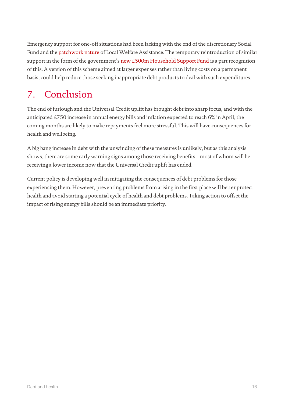Emergency support for one-off situations had been lacking with the end of the discretionary Social Fund and the [patchwork nature](https://www.childrenssociety.org.uk/sites/default/files/2020-10/leave-no-family-behind.pdf) of Local Welfare Assistance. The temporary reintroduction of similar support in the form of the government's [new £500m Household Support Fund](https://www.gov.uk/government/news/government-launches-500m-support-for-vulnerable-households-over-winter) is a part recognition of this. A version of this scheme aimed at larger expenses rather than living costs on a permanent basis, could help reduce those seeking inappropriate debt products to deal with such expenditures.

# 7. Conclusion

The end of furlough and the Universal Credit uplift has brought debt into sharp focus, and with the anticipated £750 increase in annual energy bills and inflation expected to reach 6% in April, the coming months are likely to make repayments feel more stressful. This will have consequences for health and wellbeing.

A big bang increase in debt with the unwinding of these measures is unlikely, but as this analysis shows, there are some early warning signs among those receiving benefits – most of whom will be receiving a lower income now that the Universal Credit uplift has ended.

Current policy is developing well in mitigating the consequences of debt problems for those experiencing them. However, preventing problems from arising in the first place will better protect health and avoid starting a potential cycle of health and debt problems. Taking action to offset the impact of rising energy bills should be an immediate priority.